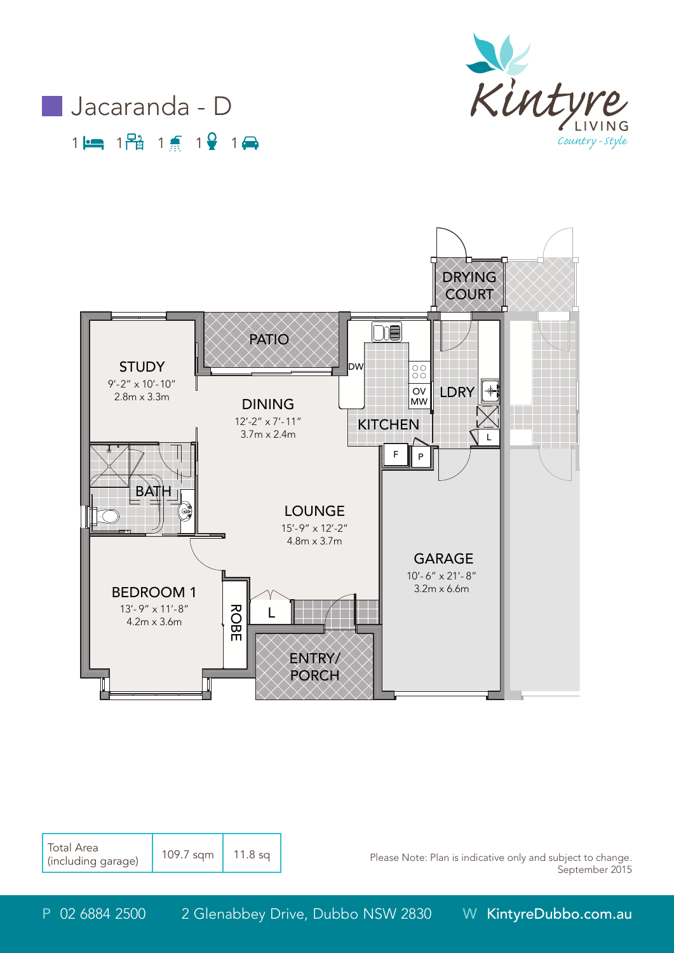





| <b>Total Area</b><br>I (including garage) | 109.7 sqm | $11.8$ sq |
|-------------------------------------------|-----------|-----------|
|-------------------------------------------|-----------|-----------|

Please Note: Plan is indicative only and subject to change. September 2015